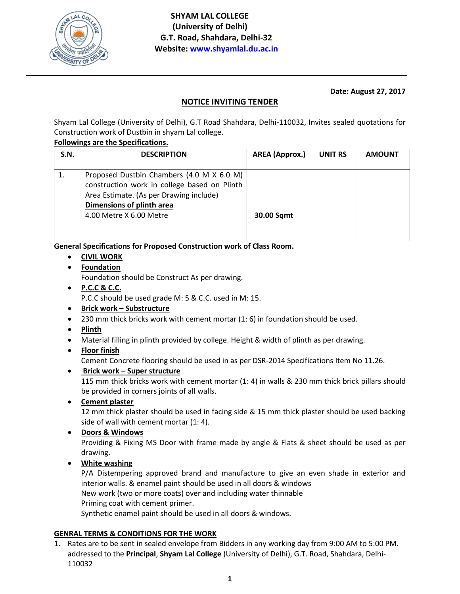

## **Date: August 27, 2017**

# **NOTICE INVITING TENDER**

Shyam Lal College (University of Delhi), G.T Road Shahdara, Delhi-110032, Invites sealed quotations for Construction work of Dustbin in shyam Lal college.

#### **Followings are the Specifications.**

| S.N. | <b>DESCRIPTION</b>                           | <b>AREA</b> (Approx.) | <b>UNIT RS</b> | <b>AMOUNT</b> |
|------|----------------------------------------------|-----------------------|----------------|---------------|
|      |                                              |                       |                |               |
|      | Proposed Dustbin Chambers (4.0 M X 6.0 M)    |                       |                |               |
|      | construction work in college based on Plinth |                       |                |               |
|      | Area Estimate. (As per Drawing include)      |                       |                |               |
|      | Dimensions of plinth area                    |                       |                |               |
|      | 4.00 Metre X 6.00 Metre                      | <b>30.00 Sqmt</b>     |                |               |
|      |                                              |                       |                |               |
|      |                                              |                       |                |               |

**General Specifications for Proposed Construction work of Class Room.**

- **CIVIL WORK**
- **Foundation**

Foundation should be Construct As per drawing.

- **P.C.C & C.C.** P.C.C should be used grade M: 5 & C.C. used in M: 15.
- **Brick work – Substructure**
- $\bullet$  230 mm thick bricks work with cement mortar (1: 6) in foundation should be used.
- **Plinth**
- Material filling in plinth provided by college. Height & width of plinth as per drawing.
- **Floor finish**

Cement Concrete flooring should be used in as per DSR-2014 Specifications Item No 11.26.

**Brick work – Super structure**

115 mm thick bricks work with cement mortar (1: 4) in walls & 230 mm thick brick pillars should be provided in corners joints of all walls.

**Cement plaster**

12 mm thick plaster should be used in facing side & 15 mm thick plaster should be used backing side of wall with cement mortar (1: 4).

**Doors & Windows**

Providing & Fixing MS Door with frame made by angle & Flats & sheet should be used as per drawing.

**White washing**

P/A Distempering approved brand and manufacture to give an even shade in exterior and interior walls. & enamel paint should be used in all doors & windows New work (two or more coats) over and including water thinnable Priming coat with cement primer. Synthetic enamel paint should be used in all doors & windows.

## **GENRAL TERMS & CONDITIONS FOR THE WORK**

1. Rates are to be sent in sealed envelope from Bidders in any working day from 9:00 AM to 5:00 PM. addressed to the **Principal**, **Shyam Lal College** (University of Delhi), G.T. Road, Shahdara, Delhi-110032